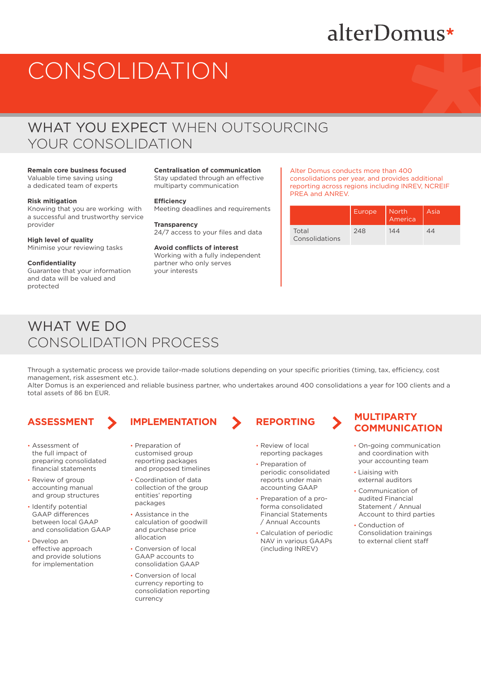# alterDomus\*

# CONSOLIDATION

## WHAT YOU EXPECT WHEN OUTSOURCING YOUR CONSOLIDATION

## **Remain core business focused** Valuable time saving using

a dedicated team of experts

## **Risk mitigation**

Knowing that you are working with a successful and trustworthy service provider

## **High level of quality**

Minimise your reviewing tasks

## **Confidentiality**

Guarantee that your information and data will be valued and protected

## **Centralisation of communication**

Stay updated through an effective multiparty communication

## **Efficiency**

Meeting deadlines and requirements

### **Transparency** 24/7 access to your files and data

**Avoid conflicts of interest** Working with a fully independent partner who only serves your interests

### Alter Domus conducts more than 400 consolidations per year, and provides additional reporting across regions including INREV, NCREIF PREA and ANREV.

|                         | Europe | North<br>America | Asia |
|-------------------------|--------|------------------|------|
| Total<br>Consolidations | 248    | 144              |      |

## WHAT WE DO CONSOLIDATION PROCESS

Through a systematic process we provide tailor-made solutions depending on your specific priorities (timing, tax, efficiency, cost management, risk assesment etc.).

Alter Domus is an experienced and reliable business partner, who undertakes around 400 consolidations a year for 100 clients and a total assets of 86 bn EUR.

- Assessment of the full impact of preparing consolidated financial statements
- Review of group accounting manual and group structures
- Identify potential GAAP differences between local GAAP and consolidation GAAP
- Develop an effective approach and provide solutions for implementation

## **ASSESSMENT IMPLEMENTATION REPORTING MULTIPARTY**

- Preparation of customised group reporting packages and proposed timelines
- Coordination of data collection of the group entities' reporting packages
- Assistance in the calculation of goodwill and purchase price allocation
- Conversion of local GAAP accounts to consolidation GAAP
- Conversion of local currency reporting to consolidation reporting currency

- Review of local reporting packages
- Preparation of periodic consolidated reports under main accounting GAAP
- Preparation of a proforma consolidated Financial Statements / Annual Accounts
- Calculation of periodic NAV in various GAAPs (including INREV)

# **COMMUNICATION**

- On-going communication and coordination with your accounting team
- Liaising with external auditors
- Communication of audited Financial Statement / Annual Account to third parties
- Conduction of Consolidation trainings to external client staff